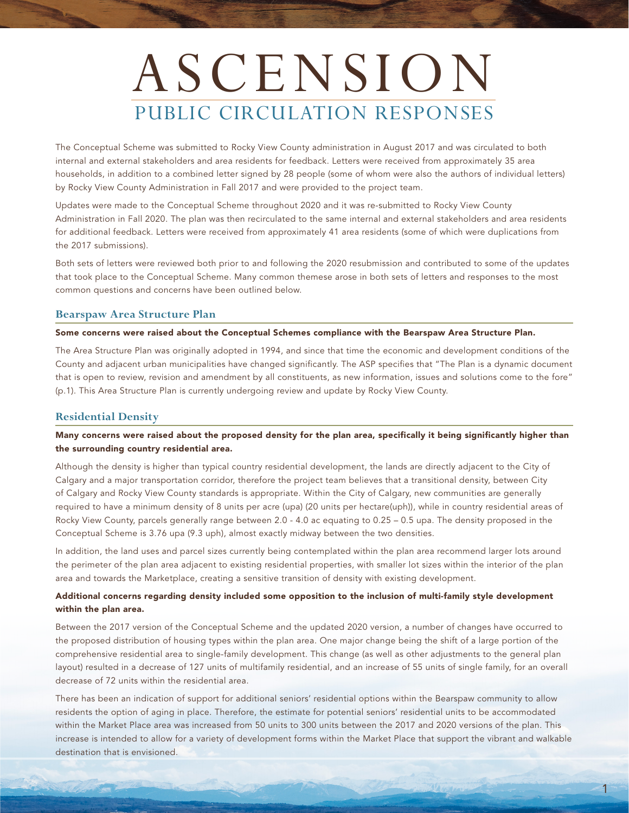# ASCENSION PUBLIC CIRCULATION RESPONSES

The Conceptual Scheme was submitted to Rocky View County administration in August 2017 and was circulated to both internal and external stakeholders and area residents for feedback. Letters were received from approximately 35 area households, in addition to a combined letter signed by 28 people (some of whom were also the authors of individual letters) by Rocky View County Administration in Fall 2017 and were provided to the project team.

Updates were made to the Conceptual Scheme throughout 2020 and it was re-submitted to Rocky View County Administration in Fall 2020. The plan was then recirculated to the same internal and external stakeholders and area residents for additional feedback. Letters were received from approximately 41 area residents (some of which were duplications from the 2017 submissions).

Both sets of letters were reviewed both prior to and following the 2020 resubmission and contributed to some of the updates that took place to the Conceptual Scheme. Many common themese arose in both sets of letters and responses to the most common questions and concerns have been outlined below.

# **Bearspaw Area Structure Plan**

#### Some concerns were raised about the Conceptual Schemes compliance with the Bearspaw Area Structure Plan.

The Area Structure Plan was originally adopted in 1994, and since that time the economic and development conditions of the County and adjacent urban municipalities have changed significantly. The ASP specifies that "The Plan is a dynamic document that is open to review, revision and amendment by all constituents, as new information, issues and solutions come to the fore" (p.1). This Area Structure Plan is currently undergoing review and update by Rocky View County.

#### **Residential Density**

# Many concerns were raised about the proposed density for the plan area, specifically it being significantly higher than the surrounding country residential area.

Although the density is higher than typical country residential development, the lands are directly adjacent to the City of Calgary and a major transportation corridor, therefore the project team believes that a transitional density, between City of Calgary and Rocky View County standards is appropriate. Within the City of Calgary, new communities are generally required to have a minimum density of 8 units per acre (upa) (20 units per hectare(uph)), while in country residential areas of Rocky View County, parcels generally range between 2.0 - 4.0 ac equating to 0.25 – 0.5 upa. The density proposed in the Conceptual Scheme is 3.76 upa (9.3 uph), almost exactly midway between the two densities.

In addition, the land uses and parcel sizes currently being contemplated within the plan area recommend larger lots around the perimeter of the plan area adjacent to existing residential properties, with smaller lot sizes within the interior of the plan area and towards the Marketplace, creating a sensitive transition of density with existing development.

#### Additional concerns regarding density included some opposition to the inclusion of multi-family style development within the plan area.

Between the 2017 version of the Conceptual Scheme and the updated 2020 version, a number of changes have occurred to the proposed distribution of housing types within the plan area. One major change being the shift of a large portion of the comprehensive residential area to single-family development. This change (as well as other adjustments to the general plan layout) resulted in a decrease of 127 units of multifamily residential, and an increase of 55 units of single family, for an overall decrease of 72 units within the residential area.

There has been an indication of support for additional seniors' residential options within the Bearspaw community to allow residents the option of aging in place. Therefore, the estimate for potential seniors' residential units to be accommodated within the Market Place area was increased from 50 units to 300 units between the 2017 and 2020 versions of the plan. This increase is intended to allow for a variety of development forms within the Market Place that support the vibrant and walkable destination that is envisioned.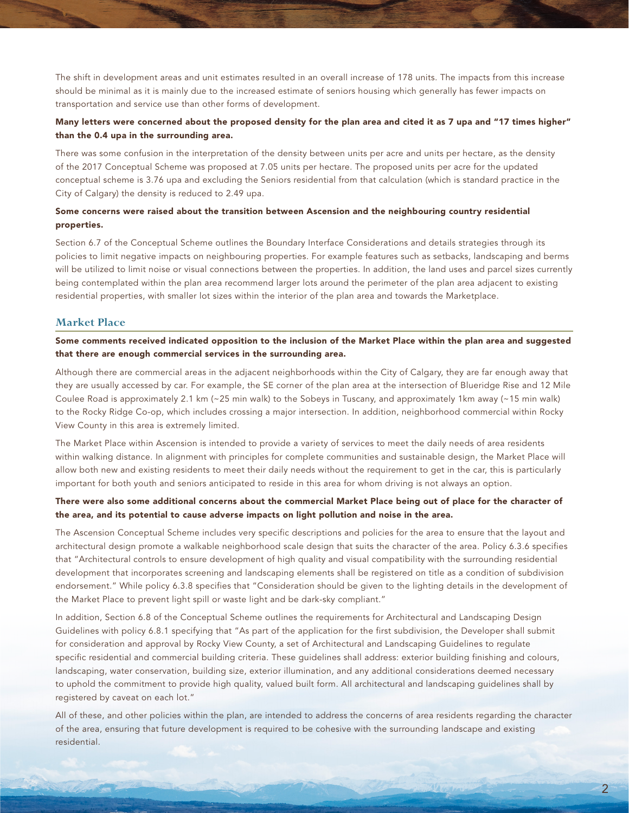The shift in development areas and unit estimates resulted in an overall increase of 178 units. The impacts from this increase should be minimal as it is mainly due to the increased estimate of seniors housing which generally has fewer impacts on transportation and service use than other forms of development.

## Many letters were concerned about the proposed density for the plan area and cited it as 7 upa and "17 times higher" than the 0.4 upa in the surrounding area.

There was some confusion in the interpretation of the density between units per acre and units per hectare, as the density of the 2017 Conceptual Scheme was proposed at 7.05 units per hectare. The proposed units per acre for the updated conceptual scheme is 3.76 upa and excluding the Seniors residential from that calculation (which is standard practice in the City of Calgary) the density is reduced to 2.49 upa.

# Some concerns were raised about the transition between Ascension and the neighbouring country residential properties.

Section 6.7 of the Conceptual Scheme outlines the Boundary Interface Considerations and details strategies through its policies to limit negative impacts on neighbouring properties. For example features such as setbacks, landscaping and berms will be utilized to limit noise or visual connections between the properties. In addition, the land uses and parcel sizes currently being contemplated within the plan area recommend larger lots around the perimeter of the plan area adjacent to existing residential properties, with smaller lot sizes within the interior of the plan area and towards the Marketplace.

### **Market Place**

#### Some comments received indicated opposition to the inclusion of the Market Place within the plan area and suggested that there are enough commercial services in the surrounding area.

Although there are commercial areas in the adjacent neighborhoods within the City of Calgary, they are far enough away that they are usually accessed by car. For example, the SE corner of the plan area at the intersection of Blueridge Rise and 12 Mile Coulee Road is approximately 2.1 km (~25 min walk) to the Sobeys in Tuscany, and approximately 1km away (~15 min walk) to the Rocky Ridge Co-op, which includes crossing a major intersection. In addition, neighborhood commercial within Rocky View County in this area is extremely limited.

The Market Place within Ascension is intended to provide a variety of services to meet the daily needs of area residents within walking distance. In alignment with principles for complete communities and sustainable design, the Market Place will allow both new and existing residents to meet their daily needs without the requirement to get in the car, this is particularly important for both youth and seniors anticipated to reside in this area for whom driving is not always an option.

# There were also some additional concerns about the commercial Market Place being out of place for the character of the area, and its potential to cause adverse impacts on light pollution and noise in the area.

The Ascension Conceptual Scheme includes very specific descriptions and policies for the area to ensure that the layout and architectural design promote a walkable neighborhood scale design that suits the character of the area. Policy 6.3.6 specifies that "Architectural controls to ensure development of high quality and visual compatibility with the surrounding residential development that incorporates screening and landscaping elements shall be registered on title as a condition of subdivision endorsement." While policy 6.3.8 specifies that "Consideration should be given to the lighting details in the development of the Market Place to prevent light spill or waste light and be dark-sky compliant."

In addition, Section 6.8 of the Conceptual Scheme outlines the requirements for Architectural and Landscaping Design Guidelines with policy 6.8.1 specifying that "As part of the application for the first subdivision, the Developer shall submit for consideration and approval by Rocky View County, a set of Architectural and Landscaping Guidelines to regulate specific residential and commercial building criteria. These guidelines shall address: exterior building finishing and colours, landscaping, water conservation, building size, exterior illumination, and any additional considerations deemed necessary to uphold the commitment to provide high quality, valued built form. All architectural and landscaping guidelines shall by registered by caveat on each lot."

All of these, and other policies within the plan, are intended to address the concerns of area residents regarding the character of the area, ensuring that future development is required to be cohesive with the surrounding landscape and existing residential.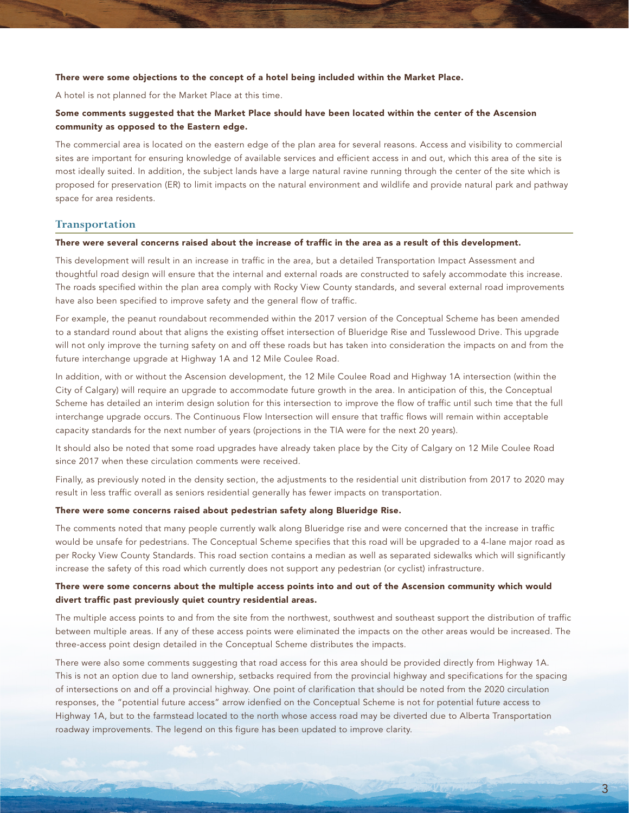#### There were some objections to the concept of a hotel being included within the Market Place.

A hotel is not planned for the Market Place at this time.

# Some comments suggested that the Market Place should have been located within the center of the Ascension community as opposed to the Eastern edge.

The commercial area is located on the eastern edge of the plan area for several reasons. Access and visibility to commercial sites are important for ensuring knowledge of available services and efficient access in and out, which this area of the site is most ideally suited. In addition, the subject lands have a large natural ravine running through the center of the site which is proposed for preservation (ER) to limit impacts on the natural environment and wildlife and provide natural park and pathway space for area residents.

#### **Transportation**

#### There were several concerns raised about the increase of traffic in the area as a result of this development.

This development will result in an increase in traffic in the area, but a detailed Transportation Impact Assessment and thoughtful road design will ensure that the internal and external roads are constructed to safely accommodate this increase. The roads specified within the plan area comply with Rocky View County standards, and several external road improvements have also been specified to improve safety and the general flow of traffic.

For example, the peanut roundabout recommended within the 2017 version of the Conceptual Scheme has been amended to a standard round about that aligns the existing offset intersection of Blueridge Rise and Tusslewood Drive. This upgrade will not only improve the turning safety on and off these roads but has taken into consideration the impacts on and from the future interchange upgrade at Highway 1A and 12 Mile Coulee Road.

In addition, with or without the Ascension development, the 12 Mile Coulee Road and Highway 1A intersection (within the City of Calgary) will require an upgrade to accommodate future growth in the area. In anticipation of this, the Conceptual Scheme has detailed an interim design solution for this intersection to improve the flow of traffic until such time that the full interchange upgrade occurs. The Continuous Flow Intersection will ensure that traffic flows will remain within acceptable capacity standards for the next number of years (projections in the TIA were for the next 20 years).

It should also be noted that some road upgrades have already taken place by the City of Calgary on 12 Mile Coulee Road since 2017 when these circulation comments were received.

Finally, as previously noted in the density section, the adjustments to the residential unit distribution from 2017 to 2020 may result in less traffic overall as seniors residential generally has fewer impacts on transportation.

#### There were some concerns raised about pedestrian safety along Blueridge Rise.

The comments noted that many people currently walk along Blueridge rise and were concerned that the increase in traffic would be unsafe for pedestrians. The Conceptual Scheme specifies that this road will be upgraded to a 4-lane major road as per Rocky View County Standards. This road section contains a median as well as separated sidewalks which will significantly increase the safety of this road which currently does not support any pedestrian (or cyclist) infrastructure.

# There were some concerns about the multiple access points into and out of the Ascension community which would divert traffic past previously quiet country residential areas.

The multiple access points to and from the site from the northwest, southwest and southeast support the distribution of traffic between multiple areas. If any of these access points were eliminated the impacts on the other areas would be increased. The three-access point design detailed in the Conceptual Scheme distributes the impacts.

There were also some comments suggesting that road access for this area should be provided directly from Highway 1A. This is not an option due to land ownership, setbacks required from the provincial highway and specifications for the spacing of intersections on and off a provincial highway. One point of clarification that should be noted from the 2020 circulation responses, the "potential future access" arrow idenfied on the Conceptual Scheme is not for potential future access to Highway 1A, but to the farmstead located to the north whose access road may be diverted due to Alberta Transportation roadway improvements. The legend on this figure has been updated to improve clarity.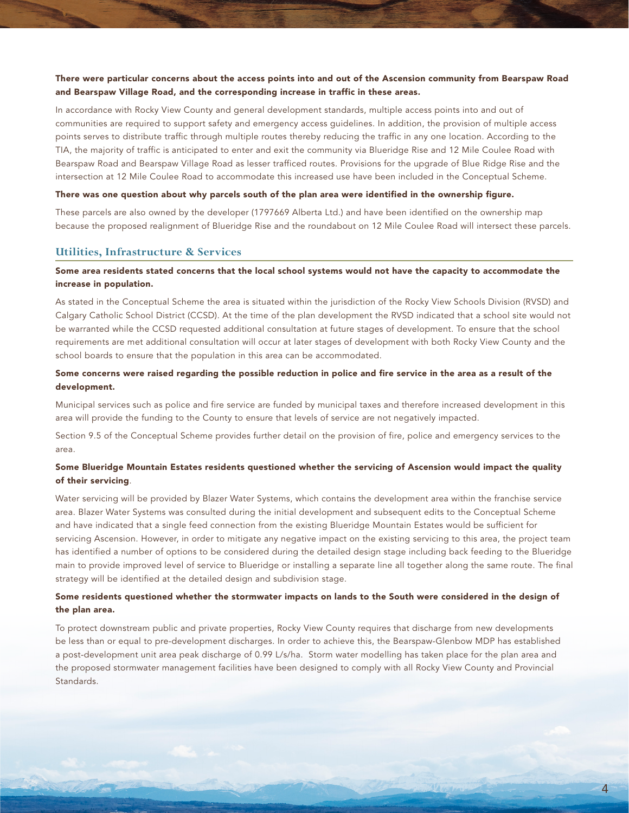# There were particular concerns about the access points into and out of the Ascension community from Bearspaw Road and Bearspaw Village Road, and the corresponding increase in traffic in these areas.

In accordance with Rocky View County and general development standards, multiple access points into and out of communities are required to support safety and emergency access guidelines. In addition, the provision of multiple access points serves to distribute traffic through multiple routes thereby reducing the traffic in any one location. According to the TIA, the majority of traffic is anticipated to enter and exit the community via Blueridge Rise and 12 Mile Coulee Road with Bearspaw Road and Bearspaw Village Road as lesser trafficed routes. Provisions for the upgrade of Blue Ridge Rise and the intersection at 12 Mile Coulee Road to accommodate this increased use have been included in the Conceptual Scheme.

#### There was one question about why parcels south of the plan area were identified in the ownership figure.

These parcels are also owned by the developer (1797669 Alberta Ltd.) and have been identified on the ownership map because the proposed realignment of Blueridge Rise and the roundabout on 12 Mile Coulee Road will intersect these parcels.

#### **Utilities, Infrastructure & Services**

# Some area residents stated concerns that the local school systems would not have the capacity to accommodate the increase in population.

As stated in the Conceptual Scheme the area is situated within the jurisdiction of the Rocky View Schools Division (RVSD) and Calgary Catholic School District (CCSD). At the time of the plan development the RVSD indicated that a school site would not be warranted while the CCSD requested additional consultation at future stages of development. To ensure that the school requirements are met additional consultation will occur at later stages of development with both Rocky View County and the school boards to ensure that the population in this area can be accommodated.

# Some concerns were raised regarding the possible reduction in police and fire service in the area as a result of the development.

Municipal services such as police and fire service are funded by municipal taxes and therefore increased development in this area will provide the funding to the County to ensure that levels of service are not negatively impacted.

Section 9.5 of the Conceptual Scheme provides further detail on the provision of fire, police and emergency services to the area.

# Some Blueridge Mountain Estates residents questioned whether the servicing of Ascension would impact the quality of their servicing.

Water servicing will be provided by Blazer Water Systems, which contains the development area within the franchise service area. Blazer Water Systems was consulted during the initial development and subsequent edits to the Conceptual Scheme and have indicated that a single feed connection from the existing Blueridge Mountain Estates would be sufficient for servicing Ascension. However, in order to mitigate any negative impact on the existing servicing to this area, the project team has identified a number of options to be considered during the detailed design stage including back feeding to the Blueridge main to provide improved level of service to Blueridge or installing a separate line all together along the same route. The final strategy will be identified at the detailed design and subdivision stage.

#### Some residents questioned whether the stormwater impacts on lands to the South were considered in the design of the plan area.

To protect downstream public and private properties, Rocky View County requires that discharge from new developments be less than or equal to pre-development discharges. In order to achieve this, the Bearspaw-Glenbow MDP has established a post-development unit area peak discharge of 0.99 L/s/ha. Storm water modelling has taken place for the plan area and the proposed stormwater management facilities have been designed to comply with all Rocky View County and Provincial **Standards**